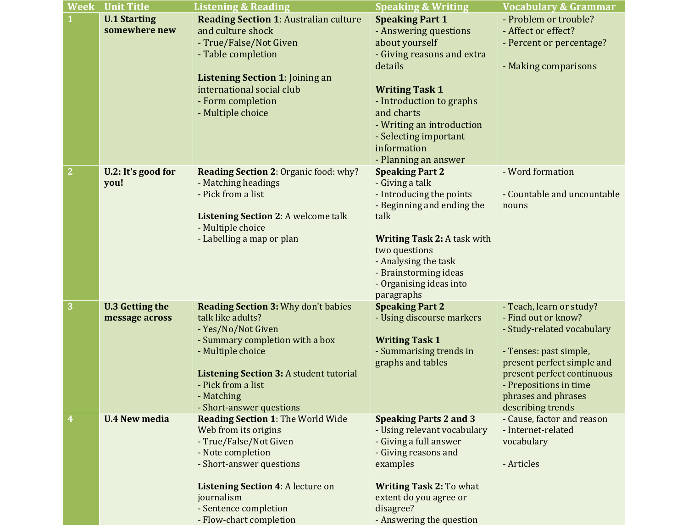| Week | <b>Unit Title</b>                        | <b>Listening &amp; Reading</b>                                                                                                                                                                                                                                  | <b>Speaking &amp; Writing</b>                                                                                                                                                                                                                                              | <b>Vocabulary &amp; Grammar</b>                                                                                                                                                                                                           |
|------|------------------------------------------|-----------------------------------------------------------------------------------------------------------------------------------------------------------------------------------------------------------------------------------------------------------------|----------------------------------------------------------------------------------------------------------------------------------------------------------------------------------------------------------------------------------------------------------------------------|-------------------------------------------------------------------------------------------------------------------------------------------------------------------------------------------------------------------------------------------|
|      | <b>U.1 Starting</b><br>somewhere new     | <b>Reading Section 1: Australian culture</b><br>and culture shock<br>- True/False/Not Given<br>- Table completion<br><b>Listening Section 1: Joining an</b><br>international social club<br>- Form completion<br>- Multiple choice                              | <b>Speaking Part 1</b><br>- Answering questions<br>about yourself<br>- Giving reasons and extra<br>details<br><b>Writing Task 1</b><br>- Introduction to graphs<br>and charts<br>- Writing an introduction<br>- Selecting important<br>information<br>- Planning an answer | - Problem or trouble?<br>- Affect or effect?<br>- Percent or percentage?<br>- Making comparisons                                                                                                                                          |
| 2    | U.2: It's good for<br>you!               | Reading Section 2: Organic food: why?<br>- Matching headings<br>- Pick from a list<br><b>Listening Section 2: A welcome talk</b><br>- Multiple choice<br>- Labelling a map or plan                                                                              | <b>Speaking Part 2</b><br>- Giving a talk<br>- Introducing the points<br>- Beginning and ending the<br>talk<br><b>Writing Task 2: A task with</b><br>two questions<br>- Analysing the task<br>- Brainstorming ideas<br>- Organising ideas into<br>paragraphs               | - Word formation<br>- Countable and uncountable<br>nouns                                                                                                                                                                                  |
| 3    | <b>U.3 Getting the</b><br>message across | <b>Reading Section 3: Why don't babies</b><br>talk like adults?<br>- Yes/No/Not Given<br>- Summary completion with a box<br>- Multiple choice<br><b>Listening Section 3: A student tutorial</b><br>- Pick from a list<br>- Matching<br>- Short-answer questions | <b>Speaking Part 2</b><br>- Using discourse markers<br><b>Writing Task 1</b><br>- Summarising trends in<br>graphs and tables                                                                                                                                               | - Teach, learn or study?<br>- Find out or know?<br>- Study-related vocabulary<br>- Tenses: past simple,<br>present perfect simple and<br>present perfect continuous<br>- Prepositions in time<br>phrases and phrases<br>describing trends |
| 4    | <b>U.4 New media</b>                     | <b>Reading Section 1: The World Wide</b><br>Web from its origins<br>- True/False/Not Given<br>- Note completion<br>- Short-answer questions<br><b>Listening Section 4: A lecture on</b><br>journalism<br>- Sentence completion<br>- Flow-chart completion       | <b>Speaking Parts 2 and 3</b><br>- Using relevant vocabulary<br>- Giving a full answer<br>- Giving reasons and<br>examples<br><b>Writing Task 2: To what</b><br>extent do you agree or<br>disagree?<br>- Answering the question                                            | - Cause, factor and reason<br>- Internet-related<br>vocabulary<br>- Articles                                                                                                                                                              |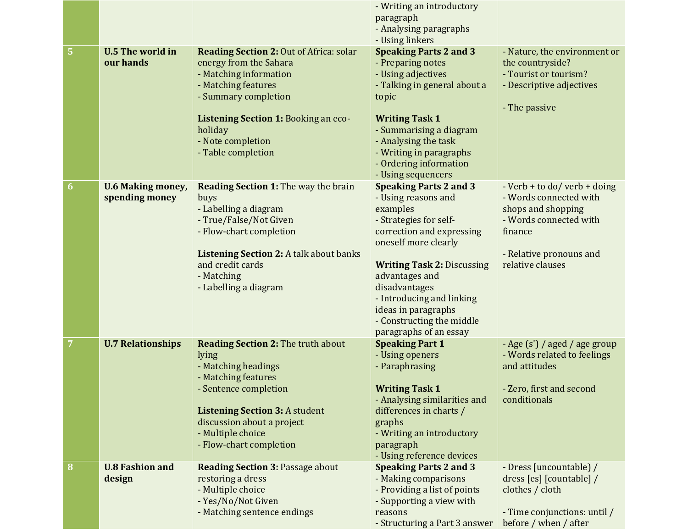|   |                                            |                                                                                                                                                                                                                                                  | - Writing an introductory                                                                                                                                                                                                                                                                                                      |                                                                                                                                                                  |
|---|--------------------------------------------|--------------------------------------------------------------------------------------------------------------------------------------------------------------------------------------------------------------------------------------------------|--------------------------------------------------------------------------------------------------------------------------------------------------------------------------------------------------------------------------------------------------------------------------------------------------------------------------------|------------------------------------------------------------------------------------------------------------------------------------------------------------------|
|   |                                            |                                                                                                                                                                                                                                                  | paragraph<br>- Analysing paragraphs                                                                                                                                                                                                                                                                                            |                                                                                                                                                                  |
|   |                                            |                                                                                                                                                                                                                                                  | - Using linkers                                                                                                                                                                                                                                                                                                                |                                                                                                                                                                  |
| 5 | <b>U.5 The world in</b><br>our hands       | <b>Reading Section 2: Out of Africa: solar</b><br>energy from the Sahara<br>- Matching information<br>- Matching features<br>- Summary completion<br>Listening Section 1: Booking an eco-<br>holiday<br>- Note completion<br>- Table completion  | <b>Speaking Parts 2 and 3</b><br>- Preparing notes<br>- Using adjectives<br>- Talking in general about a<br>topic<br><b>Writing Task 1</b><br>- Summarising a diagram<br>- Analysing the task<br>- Writing in paragraphs                                                                                                       | - Nature, the environment or<br>the countryside?<br>- Tourist or tourism?<br>- Descriptive adjectives<br>- The passive                                           |
|   |                                            |                                                                                                                                                                                                                                                  | - Ordering information                                                                                                                                                                                                                                                                                                         |                                                                                                                                                                  |
| 6 | <b>U.6 Making money,</b><br>spending money | <b>Reading Section 1: The way the brain</b><br>buys<br>- Labelling a diagram<br>- True/False/Not Given<br>- Flow-chart completion<br><b>Listening Section 2: A talk about banks</b><br>and credit cards<br>- Matching<br>- Labelling a diagram   | - Using sequencers<br><b>Speaking Parts 2 and 3</b><br>- Using reasons and<br>examples<br>- Strategies for self-<br>correction and expressing<br>oneself more clearly<br><b>Writing Task 2: Discussing</b><br>advantages and<br>disadvantages<br>- Introducing and linking<br>ideas in paragraphs<br>- Constructing the middle | - Verb + to do/ verb + doing<br>- Words connected with<br>shops and shopping<br>- Words connected with<br>finance<br>- Relative pronouns and<br>relative clauses |
| 7 | <b>U.7 Relationships</b>                   | <b>Reading Section 2: The truth about</b><br>lying<br>- Matching headings<br>- Matching features<br>- Sentence completion<br><b>Listening Section 3: A student</b><br>discussion about a project<br>- Multiple choice<br>- Flow-chart completion | paragraphs of an essay<br><b>Speaking Part 1</b><br>- Using openers<br>- Paraphrasing<br><b>Writing Task 1</b><br>- Analysing similarities and<br>differences in charts /<br>graphs<br>- Writing an introductory<br>paragraph<br>- Using reference devices                                                                     | - Age (s') / aged / age group<br>- Words related to feelings<br>and attitudes<br>- Zero, first and second<br>conditionals                                        |
| 8 | <b>U.8 Fashion and</b><br>design           | <b>Reading Section 3: Passage about</b><br>restoring a dress<br>- Multiple choice<br>- Yes/No/Not Given<br>- Matching sentence endings                                                                                                           | <b>Speaking Parts 2 and 3</b><br>- Making comparisons<br>- Providing a list of points<br>- Supporting a view with<br>reasons<br>- Structuring a Part 3 answer                                                                                                                                                                  | - Dress [uncountable] /<br>dress [es] [countable] /<br>clothes / cloth<br>- Time conjunctions: until /<br>before / when / after                                  |